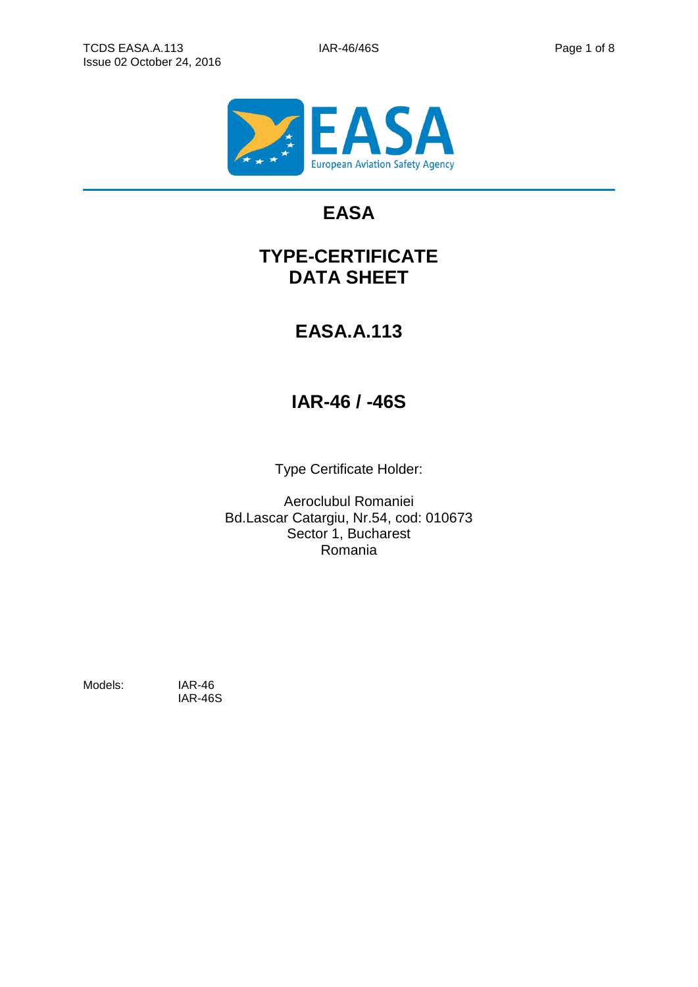

# **EASA**

# **TYPE-CERTIFICATE DATA SHEET**

# **EASA.A.113**

# **IAR-46 / -46S**

Type Certificate Holder:

Aeroclubul Romaniei Bd.Lascar Catargiu, Nr.54, cod: 010673 Sector 1, Bucharest Romania

Models: IAR-46

IAR-46S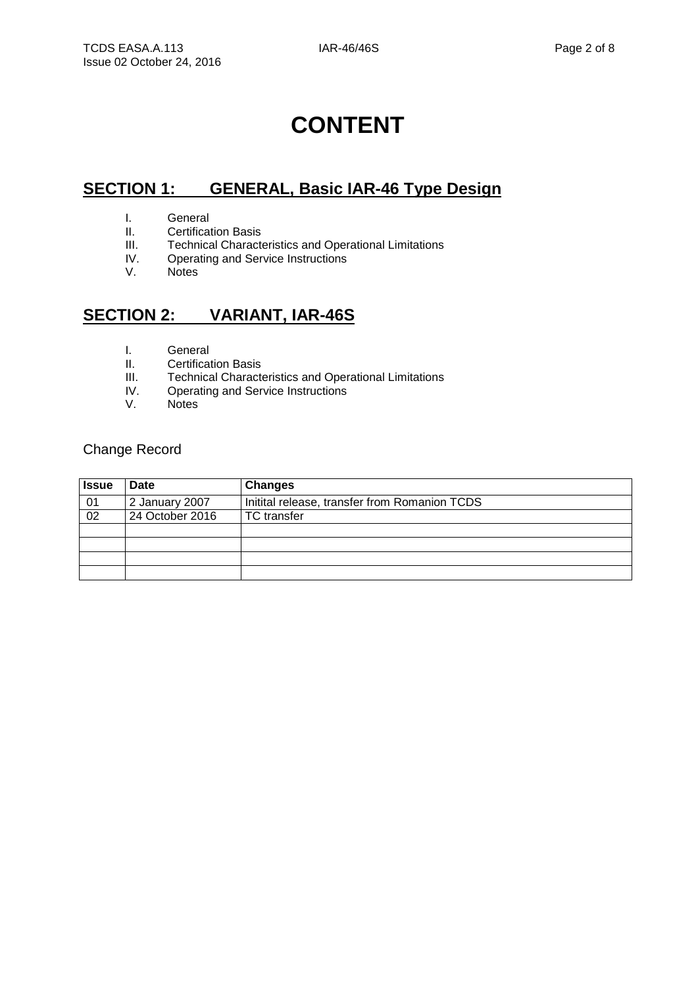# **CONTENT**

# **SECTION 1: GENERAL, Basic IAR-46 Type Design**

- I. General<br>II. Certifica
- **Certification Basis**
- III. Technical Characteristics and Operational Limitations<br>IV. Operating and Service Instructions
- IV. Operating and Service Instructions<br>V. Notes
- **Notes**

## **SECTION 2: VARIANT, IAR-46S**

- I. General
- II. Certification Basis
- III. Technical Characteristics and Operational Limitations<br>IV. Operating and Service Instructions
- Operating and Service Instructions
- V. Notes

#### Change Record

| <b>Issue</b> | <b>Date</b>     | <b>Changes</b>                                |
|--------------|-----------------|-----------------------------------------------|
| 01           | 2 January 2007  | Initital release, transfer from Romanion TCDS |
| 02           | 24 October 2016 | <b>TC</b> transfer                            |
|              |                 |                                               |
|              |                 |                                               |
|              |                 |                                               |
|              |                 |                                               |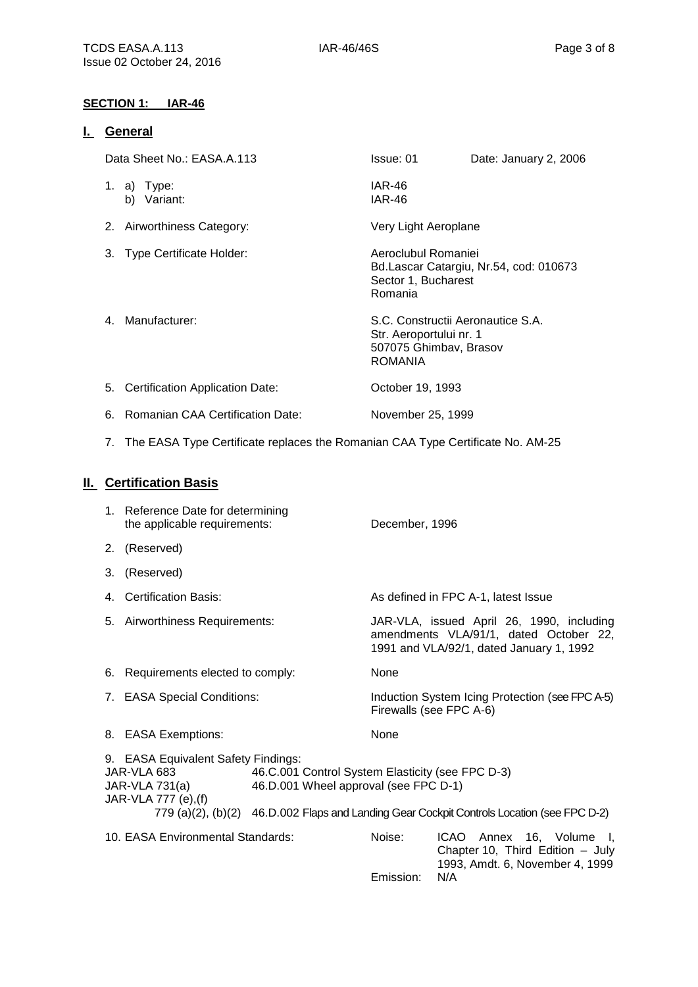#### **SECTION 1: IAR-46**

#### **I. General**

| Data Sheet No.: EASA.A.113          | Issue: 01                                                                                                | Date: January 2, 2006                  |
|-------------------------------------|----------------------------------------------------------------------------------------------------------|----------------------------------------|
| 1. a) Type:<br>Variant:<br>b)       | <b>IAR-46</b><br><b>IAR-46</b>                                                                           |                                        |
| 2. Airworthiness Category:          | Very Light Aeroplane                                                                                     |                                        |
| 3. Type Certificate Holder:         | Aeroclubul Romaniei<br>Sector 1, Bucharest<br>Romania                                                    | Bd.Lascar Catargiu, Nr.54, cod: 010673 |
| 4. Manufacturer:                    | S.C. Constructii Aeronautice S.A.<br>Str. Aeroportului nr. 1<br>507075 Ghimbav, Brasov<br><b>ROMANIA</b> |                                        |
| 5. Certification Application Date:  | October 19, 1993                                                                                         |                                        |
| 6. Romanian CAA Certification Date: | November 25, 1999                                                                                        |                                        |

7. The EASA Type Certificate replaces the Romanian CAA Type Certificate No. AM-25

## **II. Certification Basis**

|    | 1. Reference Date for determining<br>the applicable requirements:                            |                                                                                           | December, 1996                      |                                                                                                                                 |  |
|----|----------------------------------------------------------------------------------------------|-------------------------------------------------------------------------------------------|-------------------------------------|---------------------------------------------------------------------------------------------------------------------------------|--|
|    | 2. (Reserved)                                                                                |                                                                                           |                                     |                                                                                                                                 |  |
| 3. | (Reserved)                                                                                   |                                                                                           |                                     |                                                                                                                                 |  |
|    | 4. Certification Basis:                                                                      |                                                                                           | As defined in FPC A-1, latest Issue |                                                                                                                                 |  |
|    | 5. Airworthiness Requirements:                                                               |                                                                                           |                                     | JAR-VLA, issued April 26, 1990, including<br>amendments VLA/91/1, dated October 22,<br>1991 and VLA/92/1, dated January 1, 1992 |  |
|    | 6. Requirements elected to comply:                                                           |                                                                                           | None                                |                                                                                                                                 |  |
|    | 7. EASA Special Conditions:                                                                  |                                                                                           |                                     | Induction System Icing Protection (see FPC A-5)<br>Firewalls (see FPC A-6)                                                      |  |
|    | 8. EASA Exemptions:                                                                          |                                                                                           | <b>None</b>                         |                                                                                                                                 |  |
|    | 9. EASA Equivalent Safety Findings:<br>JAR-VLA 683<br>JAR-VLA 731(a)<br>JAR-VLA 777 (e), (f) | 46.C.001 Control System Elasticity (see FPC D-3)<br>46.D.001 Wheel approval (see FPC D-1) |                                     | 779 (a)(2), (b)(2) 46.D.002 Flaps and Landing Gear Cockpit Controls Location (see FPC D-2)                                      |  |
|    | 10. EASA Environmental Standards:                                                            |                                                                                           | Noise:<br>Emission:                 | ICAO Annex 16, Volume I,<br>Chapter 10, Third Edition - July<br>1993, Amdt. 6, November 4, 1999<br>N/A                          |  |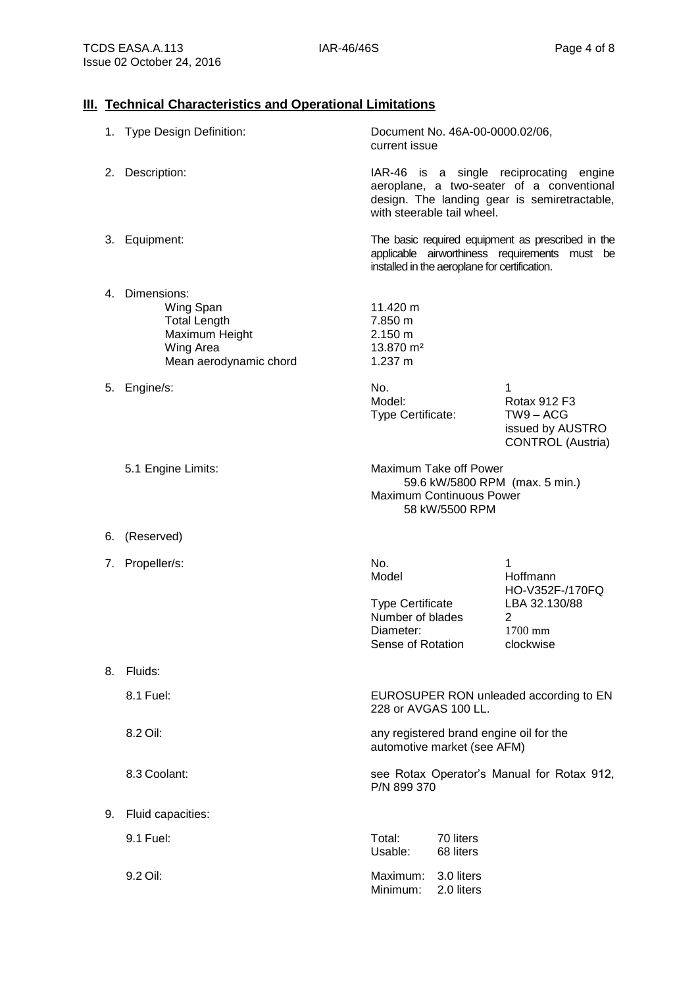## **III. Technical Characteristics and Operational Limitations**

|    | 1. Type Design Definition:                                                                                  | Document No. 46A-00-0000.02/06,<br>current issue                                                                                                                   |                          |                                                                                  |
|----|-------------------------------------------------------------------------------------------------------------|--------------------------------------------------------------------------------------------------------------------------------------------------------------------|--------------------------|----------------------------------------------------------------------------------|
|    | 2. Description:                                                                                             | IAR-46 is a single reciprocating engine<br>aeroplane, a two-seater of a conventional<br>design. The landing gear is semiretractable,<br>with steerable tail wheel. |                          |                                                                                  |
|    | 3. Equipment:                                                                                               | The basic required equipment as prescribed in the<br>applicable airworthiness requirements must be<br>installed in the aeroplane for certification.                |                          |                                                                                  |
|    | 4. Dimensions:<br>Wing Span<br><b>Total Length</b><br>Maximum Height<br>Wing Area<br>Mean aerodynamic chord | 11.420 m<br>7.850 m<br>2.150 m<br>13.870 m <sup>2</sup><br>$1.237 \text{ m}$                                                                                       |                          |                                                                                  |
|    | 5. Engine/s:                                                                                                | No.<br>Model:<br>Type Certificate:                                                                                                                                 |                          | 1<br>Rotax 912 F3<br>$TW9 - ACG$<br>issued by AUSTRO<br><b>CONTROL</b> (Austria) |
|    | 5.1 Engine Limits:                                                                                          | Maximum Take off Power<br><b>Maximum Continuous Power</b><br>58 kW/5500 RPM                                                                                        |                          | 59.6 kW/5800 RPM (max. 5 min.)                                                   |
|    | 6. (Reserved)                                                                                               |                                                                                                                                                                    |                          |                                                                                  |
|    | 7. Propeller/s:                                                                                             | No.<br>Model<br><b>Type Certificate</b><br>Number of blades<br>Diameter:<br>Sense of Rotation                                                                      |                          | 1<br>Hoffmann<br>HO-V352F-/170FQ<br>LBA 32.130/88<br>2<br>1700 mm<br>clockwise   |
|    | 8. Fluids:                                                                                                  |                                                                                                                                                                    |                          |                                                                                  |
|    | 8.1 Fuel:                                                                                                   | 228 or AVGAS 100 LL.                                                                                                                                               |                          | EUROSUPER RON unleaded according to EN                                           |
|    | 8.2 Oil:                                                                                                    | any registered brand engine oil for the<br>automotive market (see AFM)                                                                                             |                          |                                                                                  |
|    | 8.3 Coolant:                                                                                                | P/N 899 370                                                                                                                                                        |                          | see Rotax Operator's Manual for Rotax 912,                                       |
| 9. | Fluid capacities:                                                                                           |                                                                                                                                                                    |                          |                                                                                  |
|    | 9.1 Fuel:                                                                                                   | Total:<br>70 liters<br>Usable:<br>68 liters                                                                                                                        |                          |                                                                                  |
|    | 9.2 Oil:                                                                                                    | Maximum:<br>Minimum:                                                                                                                                               | 3.0 liters<br>2.0 liters |                                                                                  |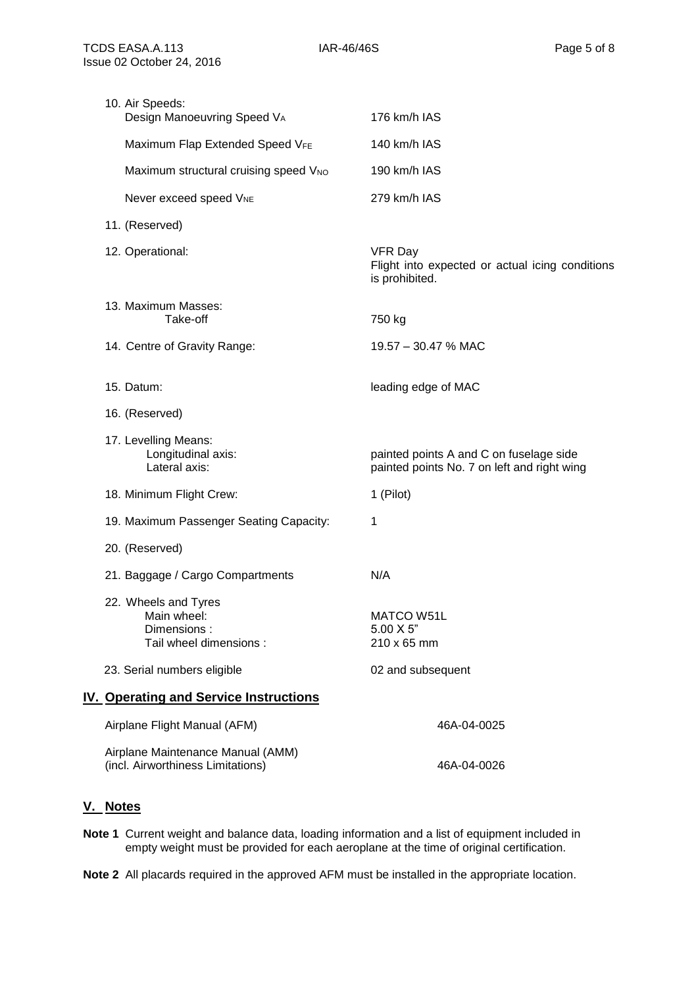| 10. Air Speeds:<br>Design Manoeuvring Speed VA                               | 176 km/h IAS                                                                           |
|------------------------------------------------------------------------------|----------------------------------------------------------------------------------------|
| Maximum Flap Extended Speed VFE                                              | 140 km/h IAS                                                                           |
| Maximum structural cruising speed V <sub>NO</sub>                            | 190 km/h IAS                                                                           |
| Never exceed speed VNE                                                       | 279 km/h IAS                                                                           |
| 11. (Reserved)                                                               |                                                                                        |
| 12. Operational:                                                             | <b>VFR Day</b><br>Flight into expected or actual icing conditions<br>is prohibited.    |
| 13. Maximum Masses:<br>Take-off                                              | 750 kg                                                                                 |
| 14. Centre of Gravity Range:                                                 | 19.57 - 30.47 % MAC                                                                    |
| 15. Datum:                                                                   | leading edge of MAC                                                                    |
| 16. (Reserved)                                                               |                                                                                        |
| 17. Levelling Means:<br>Longitudinal axis:<br>Lateral axis:                  | painted points A and C on fuselage side<br>painted points No. 7 on left and right wing |
| 18. Minimum Flight Crew:                                                     | 1 (Pilot)                                                                              |
| 19. Maximum Passenger Seating Capacity:                                      | 1                                                                                      |
| 20. (Reserved)                                                               |                                                                                        |
| 21. Baggage / Cargo Compartments                                             | N/A                                                                                    |
| 22. Wheels and Tyres<br>Main wheel:<br>Dimensions:<br>Tail wheel dimensions: | MATCO W51L<br>$5.00 \times 5$ "<br>210 x 65 mm                                         |
| 23. Serial numbers eligible                                                  | 02 and subsequent                                                                      |
| <b>IV. Operating and Service Instructions</b>                                |                                                                                        |
| Airplane Flight Manual (AFM)                                                 | 46A-04-0025                                                                            |
| Airplane Maintenance Manual (AMM)<br>(incl. Airworthiness Limitations)       | 46A-04-0026                                                                            |

#### **V. Notes**

**Note 1** Current weight and balance data, loading information and a list of equipment included in empty weight must be provided for each aeroplane at the time of original certification.

**Note 2** All placards required in the approved AFM must be installed in the appropriate location.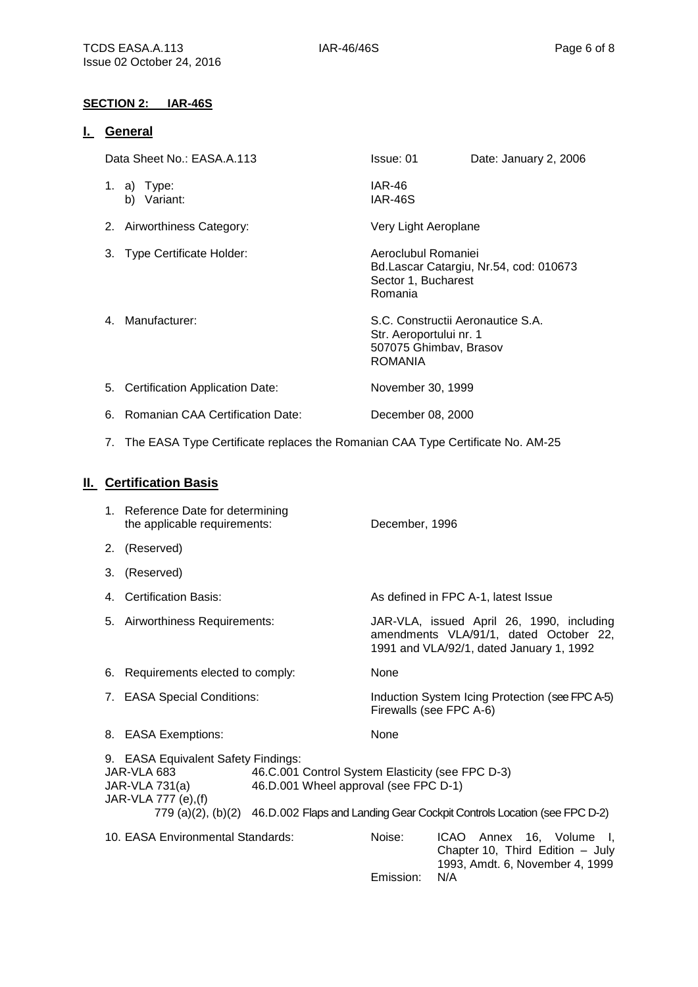#### **SECTION 2: IAR-46S**

#### **I. General**

| Data Sheet No.: EASA.A.113          | Issue: 01                                                                                         | Date: January 2, 2006                  |
|-------------------------------------|---------------------------------------------------------------------------------------------------|----------------------------------------|
| 1. a) Type:<br>Variant:<br>b)       | <b>IAR-46</b><br>IAR-46S                                                                          |                                        |
| 2. Airworthiness Category:          | Very Light Aeroplane                                                                              |                                        |
| 3. Type Certificate Holder:         | Aeroclubul Romaniei<br>Sector 1, Bucharest<br>Romania                                             | Bd.Lascar Catargiu, Nr.54, cod: 010673 |
| 4. Manufacturer:                    | S.C. Constructii Aeronautice S.A.<br>Str. Aeroportului nr. 1<br>507075 Ghimbav, Brasov<br>ROMANIA |                                        |
| 5. Certification Application Date:  | November 30, 1999                                                                                 |                                        |
| 6. Romanian CAA Certification Date: | December 08, 2000                                                                                 |                                        |

7. The EASA Type Certificate replaces the Romanian CAA Type Certificate No. AM-25

## **II. Certification Basis**

|    | 1. Reference Date for determining<br>the applicable requirements:                                                                                                                                                                                                                       |  | December, 1996      |                                                                                                                                 |  |
|----|-----------------------------------------------------------------------------------------------------------------------------------------------------------------------------------------------------------------------------------------------------------------------------------------|--|---------------------|---------------------------------------------------------------------------------------------------------------------------------|--|
|    | 2. (Reserved)                                                                                                                                                                                                                                                                           |  |                     |                                                                                                                                 |  |
| 3. | (Reserved)                                                                                                                                                                                                                                                                              |  |                     |                                                                                                                                 |  |
|    | 4. Certification Basis:                                                                                                                                                                                                                                                                 |  |                     | As defined in FPC A-1, latest Issue                                                                                             |  |
|    | 5. Airworthiness Requirements:                                                                                                                                                                                                                                                          |  |                     | JAR-VLA, issued April 26, 1990, including<br>amendments VLA/91/1, dated October 22,<br>1991 and VLA/92/1, dated January 1, 1992 |  |
|    | 6. Requirements elected to comply:                                                                                                                                                                                                                                                      |  | None                |                                                                                                                                 |  |
|    | 7. EASA Special Conditions:                                                                                                                                                                                                                                                             |  |                     | Induction System Icing Protection (see FPC A-5)<br>Firewalls (see FPC A-6)                                                      |  |
|    | 8. EASA Exemptions:                                                                                                                                                                                                                                                                     |  | None                |                                                                                                                                 |  |
|    | 9. EASA Equivalent Safety Findings:<br>JAR-VLA 683<br>46.C.001 Control System Elasticity (see FPC D-3)<br>46.D.001 Wheel approval (see FPC D-1)<br>JAR-VLA 731(a)<br>JAR-VLA 777 (e), (f)<br>779 (a)(2), (b)(2) 46.D.002 Flaps and Landing Gear Cockpit Controls Location (see FPC D-2) |  |                     |                                                                                                                                 |  |
|    | 10. EASA Environmental Standards:                                                                                                                                                                                                                                                       |  | Noise:<br>Emission: | ICAO Annex 16, Volume I,<br>Chapter 10, Third Edition - July<br>1993, Amdt. 6, November 4, 1999<br>N/A                          |  |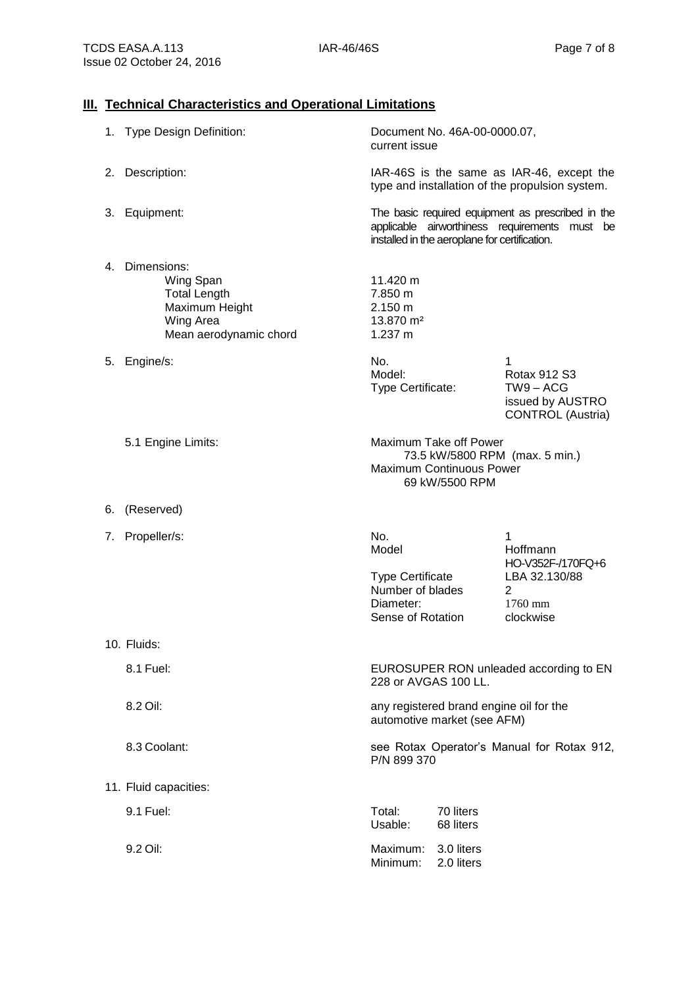## **III. Technical Characteristics and Operational Limitations**

|    | 1. Type Design Definition:                                                                                  | current issue                                                                                 | Document No. 46A-00-0000.07,                                                |                                                                                                    |
|----|-------------------------------------------------------------------------------------------------------------|-----------------------------------------------------------------------------------------------|-----------------------------------------------------------------------------|----------------------------------------------------------------------------------------------------|
|    | 2. Description:                                                                                             | IAR-46S is the same as IAR-46, except the<br>type and installation of the propulsion system.  |                                                                             |                                                                                                    |
|    | 3. Equipment:                                                                                               |                                                                                               | installed in the aeroplane for certification.                               | The basic required equipment as prescribed in the<br>applicable airworthiness requirements must be |
|    | 4. Dimensions:<br>Wing Span<br><b>Total Length</b><br>Maximum Height<br>Wing Area<br>Mean aerodynamic chord | 11.420 m<br>7.850 m<br>2.150 m<br>13.870 m <sup>2</sup><br>1.237 m                            |                                                                             |                                                                                                    |
|    | 5. Engine/s:                                                                                                | No.<br>Model:<br>Type Certificate:                                                            |                                                                             | 1<br><b>Rotax 912 S3</b><br>TW9-ACG<br>issued by AUSTRO<br><b>CONTROL</b> (Austria)                |
|    | 5.1 Engine Limits:                                                                                          |                                                                                               | Maximum Take off Power<br><b>Maximum Continuous Power</b><br>69 kW/5500 RPM | 73.5 kW/5800 RPM (max. 5 min.)                                                                     |
| 6. | (Reserved)                                                                                                  |                                                                                               |                                                                             |                                                                                                    |
| 7. | Propeller/s:                                                                                                | No.<br>Model<br><b>Type Certificate</b><br>Number of blades<br>Diameter:<br>Sense of Rotation |                                                                             | 1<br>Hoffmann<br>HO-V352F-/170FQ+6<br>LBA 32.130/88<br>2<br>$1760$ mm<br>clockwise                 |
|    | 10. Fluids:                                                                                                 |                                                                                               |                                                                             |                                                                                                    |
|    | 8.1 Fuel:                                                                                                   | 228 or AVGAS 100 LL.                                                                          |                                                                             | EUROSUPER RON unleaded according to EN                                                             |
|    | 8.2 Oil:                                                                                                    |                                                                                               | automotive market (see AFM)                                                 | any registered brand engine oil for the                                                            |
|    | 8.3 Coolant:                                                                                                | P/N 899 370                                                                                   |                                                                             | see Rotax Operator's Manual for Rotax 912,                                                         |
|    | 11. Fluid capacities:                                                                                       |                                                                                               |                                                                             |                                                                                                    |
|    | 9.1 Fuel:                                                                                                   | Total:<br>Usable:                                                                             | 70 liters<br>68 liters                                                      |                                                                                                    |
|    | 9.2 Oil:                                                                                                    | Maximum:<br>Minimum:                                                                          | 3.0 liters<br>2.0 liters                                                    |                                                                                                    |